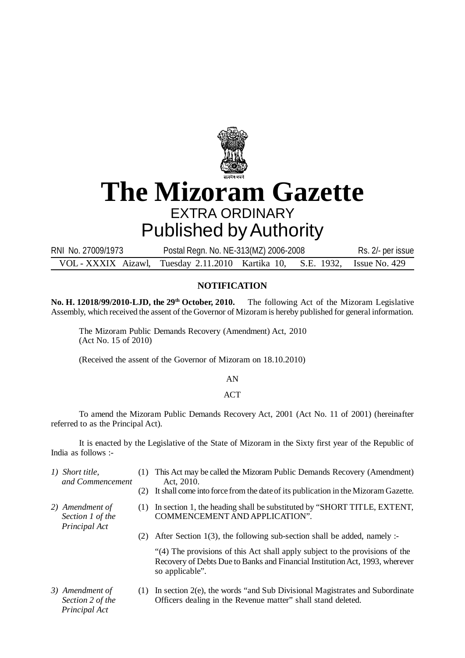

## **The Mizoram Gazette** EXTRA ORDINARY

## Published by Authority

RNI No. 27009/1973 Postal Regn. No. NE-313(MZ) 2006-2008 Rs. 2/- per issue VOL - XXXIX Aizawl, Tuesday 2.11.2010 Kartika 10, S.E. 1932, Issue No. 429

## **NOTIFICATION**

**No. H. 12018/99/2010-LJD, the 29th October, 2010.** The following Act of the Mizoram Legislative Assembly, which received the assent of the Governor of Mizoram is hereby published for general information.

The Mizoram Public Demands Recovery (Amendment) Act, 2010 (Act No. 15 of 2010)

(Received the assent of the Governor of Mizoram on 18.10.2010)

AN

## **ACT**

To amend the Mizoram Public Demands Recovery Act, 2001 (Act No. 11 of 2001) (hereinafter referred to as the Principal Act).

It is enacted by the Legislative of the State of Mizoram in the Sixty first year of the Republic of India as follows :-

- *1) Short title,* (1) This Act may be called the Mizoram Public Demands Recovery (Amendment)  *and Commencement* Act, 2010.
	-
	- (2) It shall come into force from the date of its publication in the Mizoram Gazette.
- *2) Amendment of* (1) In section 1, the heading shall be substituted by "SHORT TITLE, EXTENT, Section 1 of the COMMENCEMENT AND APPLICATION".
	- (2) After Section 1(3), the following sub-section shall be added, namely :-

"(4) The provisions of this Act shall apply subject to the provisions of the Recovery of Debts Due to Banks and Financial Institution Act, 1993, wherever so applicable".

 *Principal Act*

 *Principal Act*

*3) Amendment of* (1) In section 2(e), the words "and Sub Divisional Magistrates and Subordinate *Section 2 of the* **Officers dealing in the Revenue matter**" shall stand deleted.